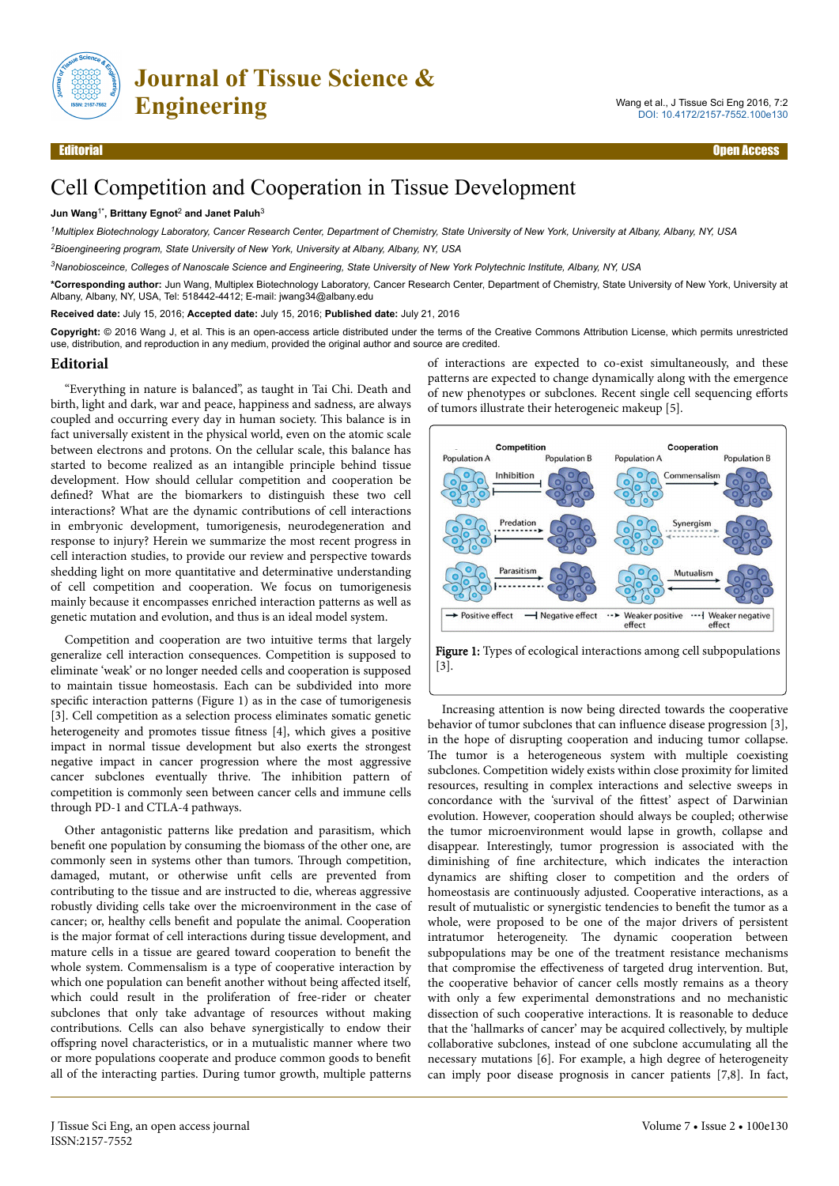

#### Editorial Open Access

# Cell Competition and Cooperation in Tissue Development

#### **Jun Wang**1\***, Brittany Egnot**<sup>2</sup>  **and Janet Paluh**<sup>3</sup>

*<sup>1</sup>Multiplex Biotechnology Laboratory, Cancer Research Center, Department of Chemistry, State University of New York, University at Albany, Albany, NY, USA <sup>2</sup>Bioengineering program, State University of New York, University at Albany, Albany, NY, USA*

*<sup>3</sup>Nanobiosceince, Colleges of Nanoscale Science and Engineering, State University of New York Polytechnic Institute, Albany, NY, USA*

**\*Corresponding author:** Jun Wang, Multiplex Biotechnology Laboratory, Cancer Research Center, Department of Chemistry, State University of New York, University at Albany, Albany, NY, USA, Tel: 518442-4412; E-mail: jwang34@albany.edu

**Received date:** July 15, 2016; **Accepted date:** July 15, 2016; **Published date:** July 21, 2016

**Copyright:** © 2016 Wang J, et al. This is an open-access article distributed under the terms of the Creative Commons Attribution License, which permits unrestricted use, distribution, and reproduction in any medium, provided the original author and source are credited.

#### **Editorial**

"Everything in nature is balanced", as taught in Tai Chi. Death and birth, light and dark, war and peace, happiness and sadness, are always coupled and occurring every day in human society. Нis balance is in fact universally existent in the physical world, even on the atomic scale between electrons and protons. On the cellular scale, this balance has started to become realized as an intangible principle behind tissue development. How should cellular competition and cooperation be defined? What are the biomarkers to distinguish these two cell interactions? What are the dynamic contributions of cell interactions in embryonic development, tumorigenesis, neurodegeneration and response to injury? Herein we summarize the most recent progress in cell interaction studies, to provide our review and perspective towards shedding light on more quantitative and determinative understanding of cell competition and cooperation. We focus on tumorigenesis mainly because it encompasses enriched interaction patterns as well as genetic mutation and evolution, and thus is an ideal model system.

Competition and cooperation are two intuitive terms that largely generalize cell interaction consequences. Competition is supposed to eliminate 'weak' or no longer needed cells and cooperation is supposed to maintain tissue homeostasis. Each can be subdivided into more specific interaction patterns (Figure 1) as in the case of tumorigenesis [3]. Cell competition as a selection process eliminates somatic genetic heterogeneity and promotes tissue fitness [4], which gives a positive impact in normal tissue development but also exerts the strongest negative impact in cancer progression where the most aggressive cancer subclones eventually thrive. Нe inhibition pattern of competition is commonly seen between cancer cells and immune cells through PD-1 and CTLA-4 pathways.

Other antagonistic patterns like predation and parasitism, which benefit one population by consuming the biomass of the other one, are commonly seen in systems other than tumors. Нrough competition, damaged, mutant, or otherwise unfit cells are prevented from contributing to the tissue and are instructed to die, whereas aggressive robustly dividing cells take over the microenvironment in the case of cancer; or, healthy cells benefit and populate the animal. Cooperation is the major format of cell interactions during tissue development, and mature cells in a tissue are geared toward cooperation to benefit the whole system. Commensalism is a type of cooperative interaction by which one population can benefit another without being affected itself, which could result in the proliferation of free-rider or cheater subclones that only take advantage of resources without making contributions. Cells can also behave synergistically to endow their offspring novel characteristics, or in a mutualistic manner where two or more populations cooperate and produce common goods to benefit all of the interacting parties. During tumor growth, multiple patterns of interactions are expected to co-exist simultaneously, and these patterns are expected to change dynamically along with the emergence of new phenotypes or subclones. Recent single cell sequencing efforts of tumors illustrate their heterogeneic makeup [5].





Increasing attention is now being directed towards the cooperative behavior of tumor subclones that can influence disease progression [3], in the hope of disrupting cooperation and inducing tumor collapse. The tumor is a heterogeneous system with multiple coexisting subclones. Competition widely exists within close proximity for limited resources, resulting in complex interactions and selective sweeps in concordance with the 'survival of the fittest' aspect of Darwinian evolution. However, cooperation should always be coupled; otherwise the tumor microenvironment would lapse in growth, collapse and disappear. Interestingly, tumor progression is associated with the diminishing of fine architecture, which indicates the interaction dynamics are shifting closer to competition and the orders of homeostasis are continuously adjusted. Cooperative interactions, as a result of mutualistic or synergistic tendencies to benefit the tumor as a whole, were proposed to be one of the major drivers of persistent intratumor heterogeneity. Нe dynamic cooperation between subpopulations may be one of the treatment resistance mechanisms that compromise the effectiveness of targeted drug intervention. But, the cooperative behavior of cancer cells mostly remains as a theory with only a few experimental demonstrations and no mechanistic dissection of such cooperative interactions. It is reasonable to deduce that the 'hallmarks of cancer' may be acquired collectively, by multiple collaborative subclones, instead of one subclone accumulating all the necessary mutations [6]. For example, a high degree of heterogeneity can imply poor disease prognosis in cancer patients [7,8]. In fact,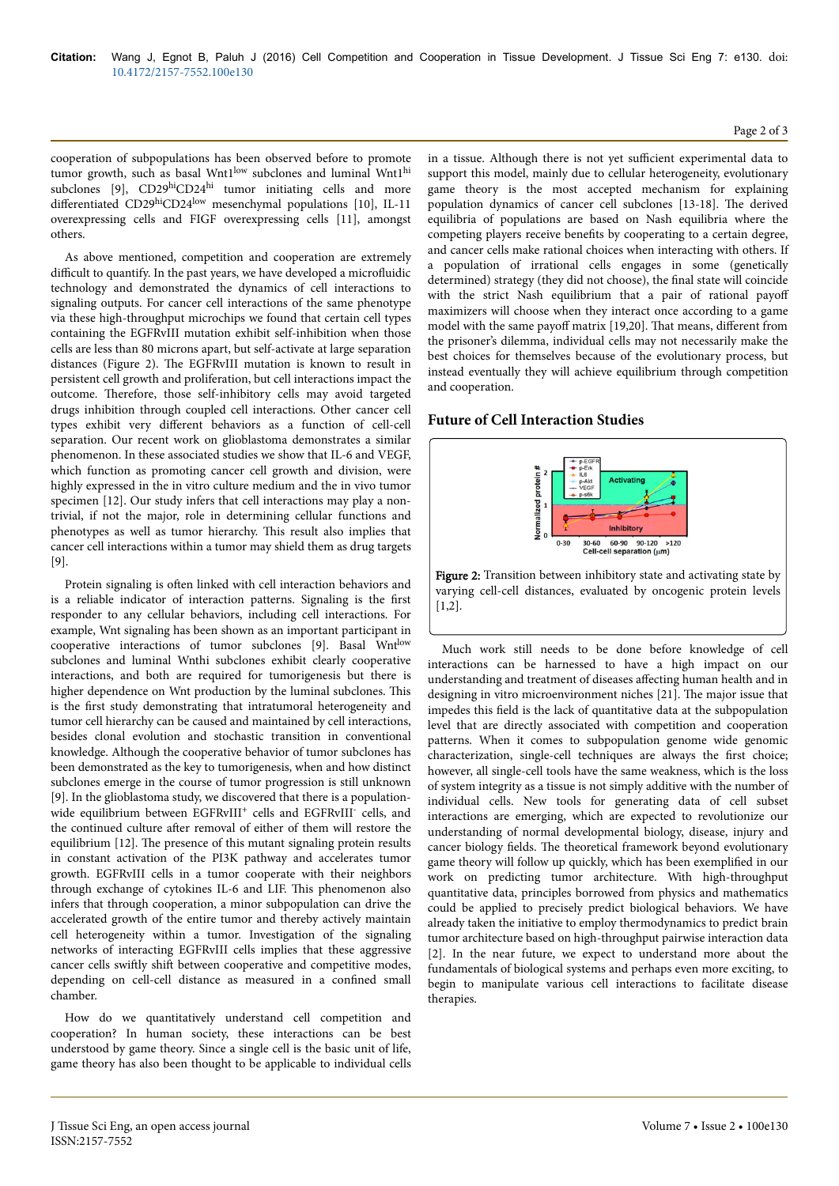cooperation of subpopulations has been observed before to promote tumor growth, such as basal Wnt1<sup>low</sup> subclones and luminal Wnt1<sup>hi</sup> subclones [9], CD29hiCD24hi tumor initiating cells and more differentiated CD29hiCD24low mesenchymal populations [10], IL-11 overexpressing cells and FIGF overexpressing cells [11], amongst others.

As above mentioned, competition and cooperation are extremely difficult to quantify. In the past years, we have developed a microfluidic technology and demonstrated the dynamics of cell interactions to signaling outputs. For cancer cell interactions of the same phenotype via these high-throughput microchips we found that certain cell types containing the EGFRvIII mutation exhibit self-inhibition when those cells are less than 80 microns apart, but self-activate at large separation distances (Figure 2). Нe EGFRvIII mutation is known to result in persistent cell growth and proliferation, but cell interactions impact the outcome. Therefore, those self-inhibitory cells may avoid targeted drugs inhibition through coupled cell interactions. Other cancer cell types exhibit very different behaviors as a function of cell-cell separation. Our recent work on glioblastoma demonstrates a similar phenomenon. In these associated studies we show that IL-6 and VEGF, which function as promoting cancer cell growth and division, were highly expressed in the in vitro culture medium and the in vivo tumor specimen [12]. Our study infers that cell interactions may play a nontrivial, if not the major, role in determining cellular functions and phenotypes as well as tumor hierarchy. Нis result also implies that cancer cell interactions within a tumor may shield them as drug targets [9].

Protein signaling is often linked with cell interaction behaviors and is a reliable indicator of interaction patterns. Signaling is the first responder to any cellular behaviors, including cell interactions. For example, Wnt signaling has been shown as an important participant in cooperative interactions of tumor subclones [9]. Basal Wntlow subclones and luminal Wnthi subclones exhibit clearly cooperative interactions, and both are required for tumorigenesis but there is higher dependence on Wnt production by the luminal subclones. Нis is the first study demonstrating that intratumoral heterogeneity and tumor cell hierarchy can be caused and maintained by cell interactions, besides clonal evolution and stochastic transition in conventional knowledge. Although the cooperative behavior of tumor subclones has been demonstrated as the key to tumorigenesis, when and how distinct subclones emerge in the course of tumor progression is still unknown [9]. In the glioblastoma study, we discovered that there is a populationwide equilibrium between EGFRvIII<sup>+</sup> cells and EGFRvIII<sup>-</sup> cells, and the continued culture after removal of either of them will restore the equilibrium [12]. Нe presence of this mutant signaling protein results in constant activation of the PI3K pathway and accelerates tumor growth. EGFRvIII cells in a tumor cooperate with their neighbors through exchange of cytokines IL-6 and LIF. Нis phenomenon also infers that through cooperation, a minor subpopulation can drive the accelerated growth of the entire tumor and thereby actively maintain cell heterogeneity within a tumor. Investigation of the signaling networks of interacting EGFRvIII cells implies that these aggressive cancer cells swiftly shift between cooperative and competitive modes, depending on cell-cell distance as measured in a confined small chamber.

How do we quantitatively understand cell competition and cooperation? In human society, these interactions can be best understood by game theory. Since a single cell is the basic unit of life, game theory has also been thought to be applicable to individual cells in a tissue. Although there is not yet sufficient experimental data to support this model, mainly due to cellular heterogeneity, evolutionary game theory is the most accepted mechanism for explaining population dynamics of cancer cell subclones [13-18]. Нe derived equilibria of populations are based on Nash equilibria where the competing players receive benefits by cooperating to a certain degree, and cancer cells make rational choices when interacting with others. If a population of irrational cells engages in some (genetically determined) strategy (they did not choose), the final state will coincide with the strict Nash equilibrium that a pair of rational payoff maximizers will choose when they interact once according to a game model with the same payoff matrix [19,20]. That means, different from the prisoner's dilemma, individual cells may not necessarily make the best choices for themselves because of the evolutionary process, but instead eventually they will achieve equilibrium through competition and cooperation.

# **Future of Cell Interaction Studies**



Figure 2: Transition between inhibitory state and activating state by varying cell-cell distances, evaluated by oncogenic protein levels [1,2].

Much work still needs to be done before knowledge of cell interactions can be harnessed to have a high impact on our understanding and treatment of diseases affecting human health and in designing in vitro microenvironment niches [21]. Нe major issue that impedes this field is the lack of quantitative data at the subpopulation level that are directly associated with competition and cooperation patterns. When it comes to subpopulation genome wide genomic characterization, single-cell techniques are always the first choice; however, all single-cell tools have the same weakness, which is the loss of system integrity as a tissue is not simply additive with the number of individual cells. New tools for generating data of cell subset interactions are emerging, which are expected to revolutionize our understanding of normal developmental biology, disease, injury and cancer biology fields. The theoretical framework beyond evolutionary game theory will follow up quickly, which has been exemplified in our work on predicting tumor architecture. With high-throughput quantitative data, principles borrowed from physics and mathematics could be applied to precisely predict biological behaviors. We have already taken the initiative to employ thermodynamics to predict brain tumor architecture based on high-throughput pairwise interaction data [2]. In the near future, we expect to understand more about the fundamentals of biological systems and perhaps even more exciting, to begin to manipulate various cell interactions to facilitate disease therapies.

### Page 2 of 3